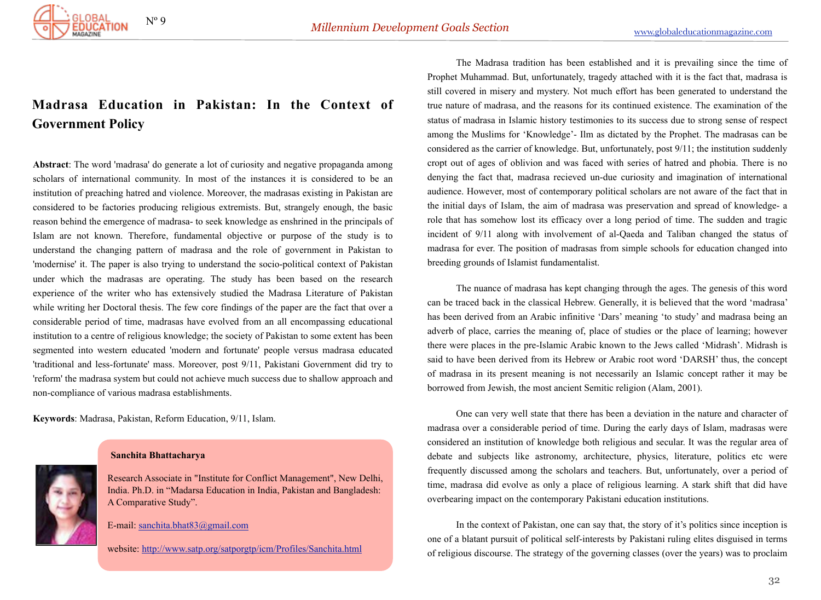

## **Mad[rasa Education in Pakistan: In the Context](http://www.globaleducationmagazine.com/madrasa-education-pakistan-context-government-policy/) of Gove[rnment Policy](http://www.globaleducationmagazine.com/madrasa-education-pakistan-context-government-policy/)**

**Abstract**: The word 'madrasa' do generate a lot of curiosity and negative propaganda among scholars of international community. In most of the instances it is considered to be an institution of preaching hatred and violence. Moreover, the madrasas existing in Pakistan are considered to be factories producing religious extremists. But, strangely enough, the basic reason behind the emergence of madrasa- to seek knowledge as enshrined in the principals of Islam are not known. Therefore, fundamental objective or purpose of the study is to understand the changing pattern of madrasa and the role of government in Pakistan to 'modernise' it. The paper is also trying to understand the socio-political context of Pakistan under which the madrasas are operating. The study has been based on the research experience of the writer who has extensively studied the Madrasa Literature of Pakistan while writing her Doctoral thesis. The few core findings of the paper are the fact that over a considerable period of time, madrasas have evolved from an all encompassing educational institution to a centre of religious knowledge; the society of Pakistan to some extent has been segmented into western educated 'modern and fortunate' people versus madrasa educated 'traditional and less-fortunate' mass. Moreover, post 9/11, Pakistani Government did try to 'reform' the madrasa system but could not achieve much success due to shallow approach and non-compliance of various madrasa establishments.

**Keywords**: Madrasa, Pakistan, Reform Education, 9/11, Islam.



## **Sanchita Bhattacharya**

Research Associate in "Institute for Conflict Management", New Delhi, India. Ph.D. in "Madarsa Education in India, Pakistan and Bangladesh: A Comparative Study".

E-mail: [sanchita.bhat83@gmail.com](mailto:sanchita.bhat83@gmail.com)

website:<http://www.satp.org/satporgtp/icm/Profiles/Sanchita.html>

 The Madrasa tradition has been established and it is prevailing since the time of Prophet Muhammad. But, unfortunately, tragedy attached with it is the fact that, madrasa is still covered in misery and mystery. Not much effort has been generated to understand the true nature of madrasa, and the reasons for its continued existence. The examination of the status of madrasa in Islamic history testimonies to its success due to strong sense of respect among the Muslims for 'Knowledge'- Ilm as dictated by the Prophet. The madrasas can be considered as the carrier of knowledge. But, unfortunately, post 9/11; the institution suddenly cropt out of ages of oblivion and was faced with series of hatred and phobia. There is no denying the fact that, madrasa recieved un-due curiosity and imagination of international audience. However, most of contemporary political scholars are not aware of the fact that in the initial days of Islam, the aim of madrasa was preservation and spread of knowledge- a role that has somehow lost its efficacy over a long period of time. The sudden and tragic incident of 9/11 along with involvement of al-Qaeda and Taliban changed the status of madrasa for ever. The position of madrasas from simple schools for education changed into breeding grounds of Islamist fundamentalist.

 The nuance of madrasa has kept changing through the ages. The genesis of this word can be traced back in the classical Hebrew. Generally, it is believed that the word 'madrasa' has been derived from an Arabic infinitive 'Dars' meaning 'to study' and madrasa being an adverb of place, carries the meaning of, place of studies or the place of learning; however there were places in the pre-Islamic Arabic known to the Jews called 'Midrash'. Midrash is said to have been derived from its Hebrew or Arabic root word 'DARSH' thus, the concept of madrasa in its present meaning is not necessarily an Islamic concept rather it may be borrowed from Jewish, the most ancient Semitic religion (Alam, 2001).

 One can very well state that there has been a deviation in the nature and character of madrasa over a considerable period of time. During the early days of Islam, madrasas were considered an institution of knowledge both religious and secular. It was the regular area of debate and subjects like astronomy, architecture, physics, literature, politics etc were frequently discussed among the scholars and teachers. But, unfortunately, over a period of time, madrasa did evolve as only a place of religious learning. A stark shift that did have overbearing impact on the contemporary Pakistani education institutions.

 In the context of Pakistan, one can say that, the story of it's politics since inception is one of a blatant pursuit of political self-interests by Pakistani ruling elites disguised in terms of religious discourse. The strategy of the governing classes (over the years) was to proclaim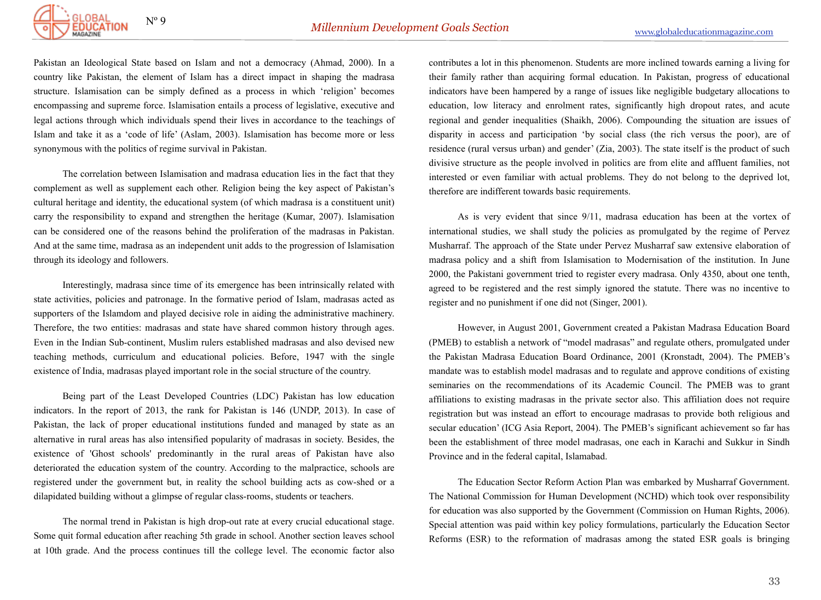

Pakistan an Ideological State based on Islam and not a democracy (Ahmad, 2000). In a country like Pakistan, the element of Islam has a direct impact in shaping the madrasa structure. Islamisation can be simply defined as a process in which 'religion' becomes encompassing and supreme force. Islamisation entails a process of legislative, executive and legal actions through which individuals spend their lives in accordance to the teachings of Islam and take it as a 'code of life' (Aslam, 2003). Islamisation has become more or less synonymous with the politics of regime survival in Pakistan.

 The correlation between Islamisation and madrasa education lies in the fact that they complement as well as supplement each other. Religion being the key aspect of Pakistan's cultural heritage and identity, the educational system (of which madrasa is a constituent unit) carry the responsibility to expand and strengthen the heritage (Kumar, 2007). Islamisation can be considered one of the reasons behind the proliferation of the madrasas in Pakistan. And at the same time, madrasa as an independent unit adds to the progression of Islamisation through its ideology and followers.

 Interestingly, madrasa since time of its emergence has been intrinsically related with state activities, policies and patronage. In the formative period of Islam, madrasas acted as supporters of the Islamdom and played decisive role in aiding the administrative machinery. Therefore, the two entities: madrasas and state have shared common history through ages. Even in the Indian Sub-continent, Muslim rulers established madrasas and also devised new teaching methods, curriculum and educational policies. Before, 1947 with the single existence of India, madrasas played important role in the social structure of the country.

 Being part of the Least Developed Countries (LDC) Pakistan has low education indicators. In the report of 2013, the rank for Pakistan is 146 (UNDP, 2013). In case of Pakistan, the lack of proper educational institutions funded and managed by state as an alternative in rural areas has also intensified popularity of madrasas in society. Besides, the existence of 'Ghost schools' predominantly in the rural areas of Pakistan have also deteriorated the education system of the country. According to the malpractice, schools are registered under the government but, in reality the school building acts as cow-shed or a dilapidated building without a glimpse of regular class-rooms, students or teachers.

 The normal trend in Pakistan is high drop-out rate at every crucial educational stage. Some quit formal education after reaching 5th grade in school. Another section leaves school at 10th grade. And the process continues till the college level. The economic factor also

contributes a lot in this phenomenon. Students are more inclined towards earning a living for their family rather than acquiring formal education. In Pakistan, progress of educational indicators have been hampered by a range of issues like negligible budgetary allocations to education, low literacy and enrolment rates, significantly high dropout rates, and acute regional and gender inequalities (Shaikh, 2006). Compounding the situation are issues of disparity in access and participation 'by social class (the rich versus the poor), are of residence (rural versus urban) and gender' (Zia, 2003). The state itself is the product of such divisive structure as the people involved in politics are from elite and affluent families, not interested or even familiar with actual problems. They do not belong to the deprived lot, therefore are indifferent towards basic requirements.

 As is very evident that since 9/11, madrasa education has been at the vortex of international studies, we shall study the policies as promulgated by the regime of Pervez Musharraf. The approach of the State under Pervez Musharraf saw extensive elaboration of madrasa policy and a shift from Islamisation to Modernisation of the institution. In June 2000, the Pakistani government tried to register every madrasa. Only 4350, about one tenth, agreed to be registered and the rest simply ignored the statute. There was no incentive to register and no punishment if one did not (Singer, 2001).

 However, in August 2001, Government created a Pakistan Madrasa Education Board (PMEB) to establish a network of "model madrasas" and regulate others, promulgated under the Pakistan Madrasa Education Board Ordinance, 2001 (Kronstadt, 2004). The PMEB's mandate was to establish model madrasas and to regulate and approve conditions of existing seminaries on the recommendations of its Academic Council. The PMEB was to grant affiliations to existing madrasas in the private sector also. This affiliation does not require registration but was instead an effort to encourage madrasas to provide both religious and secular education' (ICG Asia Report, 2004). The PMEB's significant achievement so far has been the establishment of three model madrasas, one each in Karachi and Sukkur in Sindh Province and in the federal capital, Islamabad.

 The Education Sector Reform Action Plan was embarked by Musharraf Government. The National Commission for Human Development (NCHD) which took over responsibility for education was also supported by the Government (Commission on Human Rights, 2006). Special attention was paid within key policy formulations, particularly the Education Sector Reforms (ESR) to the reformation of madrasas among the stated ESR goals is bringing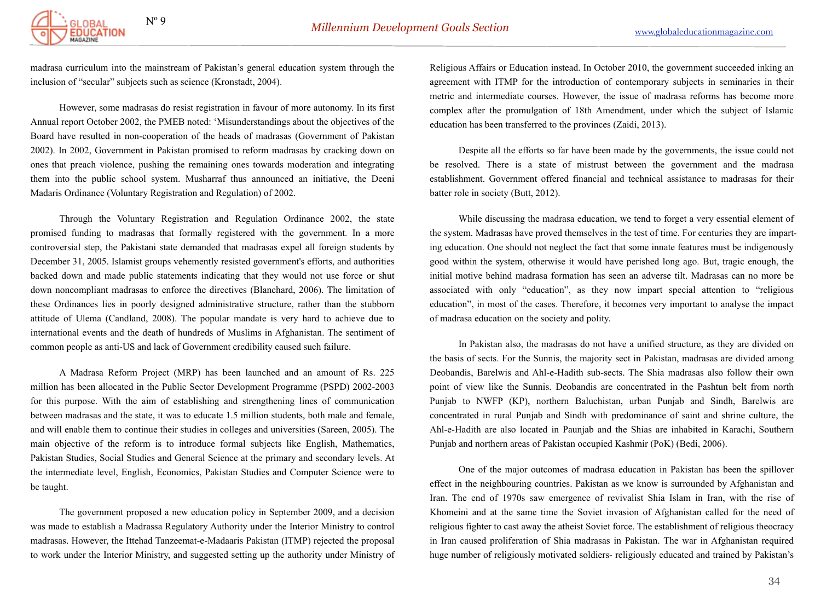

madrasa curriculum into the mainstream of Pakistan's general education system through the inclusion of "secular" subjects such as science (Kronstadt, 2004).

 However, some madrasas do resist registration in favour of more autonomy. In its first Annual report October 2002, the PMEB noted: 'Misunderstandings about the objectives of the Board have resulted in non-cooperation of the heads of madrasas (Government of Pakistan 2002). In 2002, Government in Pakistan promised to reform madrasas by cracking down on ones that preach violence, pushing the remaining ones towards moderation and integrating them into the public school system. Musharraf thus announced an initiative, the Deeni Madaris Ordinance (Voluntary Registration and Regulation) of 2002.

 Through the Voluntary Registration and Regulation Ordinance 2002, the state promised funding to madrasas that formally registered with the government. In a more controversial step, the Pakistani state demanded that madrasas expel all foreign students by December 31, 2005. Islamist groups vehemently resisted government's efforts, and authorities backed down and made public statements indicating that they would not use force or shut down noncompliant madrasas to enforce the directives (Blanchard, 2006). The limitation of these Ordinances lies in poorly designed administrative structure, rather than the stubborn attitude of Ulema (Candland, 2008). The popular mandate is very hard to achieve due to international events and the death of hundreds of Muslims in Afghanistan. The sentiment of common people as anti-US and lack of Government credibility caused such failure.

 A Madrasa Reform Project (MRP) has been launched and an amount of Rs. 225 million has been allocated in the Public Sector Development Programme (PSPD) 2002-2003 for this purpose. With the aim of establishing and strengthening lines of communication between madrasas and the state, it was to educate 1.5 million students, both male and female, and will enable them to continue their studies in colleges and universities (Sareen, 2005). The main objective of the reform is to introduce formal subjects like English, Mathematics, Pakistan Studies, Social Studies and General Science at the primary and secondary levels. At the intermediate level, English, Economics, Pakistan Studies and Computer Science were to be taught.

 The government proposed a new education policy in September 2009, and a decision was made to establish a Madrassa Regulatory Authority under the Interior Ministry to control madrasas. However, the Ittehad Tanzeemat-e-Madaaris Pakistan (ITMP) rejected the proposal to work under the Interior Ministry, and suggested setting up the authority under Ministry of

Religious Affairs or Education instead. In October 2010, the government succeeded inking an agreement with ITMP for the introduction of contemporary subjects in seminaries in their metric and intermediate courses. However, the issue of madrasa reforms has become more complex after the promulgation of 18th Amendment, under which the subject of Islamic education has been transferred to the provinces (Zaidi, 2013).

 Despite all the efforts so far have been made by the governments, the issue could not be resolved. There is a state of mistrust between the government and the madrasa establishment. Government offered financial and technical assistance to madrasas for their batter role in society (Butt, 2012).

 While discussing the madrasa education, we tend to forget a very essential element of the system. Madrasas have proved themselves in the test of time. For centuries they are imparting education. One should not neglect the fact that some innate features must be indigenously good within the system, otherwise it would have perished long ago. But, tragic enough, the initial motive behind madrasa formation has seen an adverse tilt. Madrasas can no more be associated with only "education", as they now impart special attention to "religious education", in most of the cases. Therefore, it becomes very important to analyse the impact of madrasa education on the society and polity.

 In Pakistan also, the madrasas do not have a unified structure, as they are divided on the basis of sects. For the Sunnis, the majority sect in Pakistan, madrasas are divided among Deobandis, Barelwis and Ahl-e-Hadith sub-sects. The Shia madrasas also follow their own point of view like the Sunnis. Deobandis are concentrated in the Pashtun belt from north Punjab to NWFP (KP), northern Baluchistan, urban Punjab and Sindh, Barelwis are concentrated in rural Punjab and Sindh with predominance of saint and shrine culture, the Ahl-e-Hadith are also located in Paunjab and the Shias are inhabited in Karachi, Southern Punjab and northern areas of Pakistan occupied Kashmir (PoK) (Bedi, 2006).

 One of the major outcomes of madrasa education in Pakistan has been the spillover effect in the neighbouring countries. Pakistan as we know is surrounded by Afghanistan and Iran. The end of 1970s saw emergence of revivalist Shia Islam in Iran, with the rise of Khomeini and at the same time the Soviet invasion of Afghanistan called for the need of religious fighter to cast away the atheist Soviet force. The establishment of religious theocracy in Iran caused proliferation of Shia madrasas in Pakistan. The war in Afghanistan required huge number of religiously motivated soldiers- religiously educated and trained by Pakistan's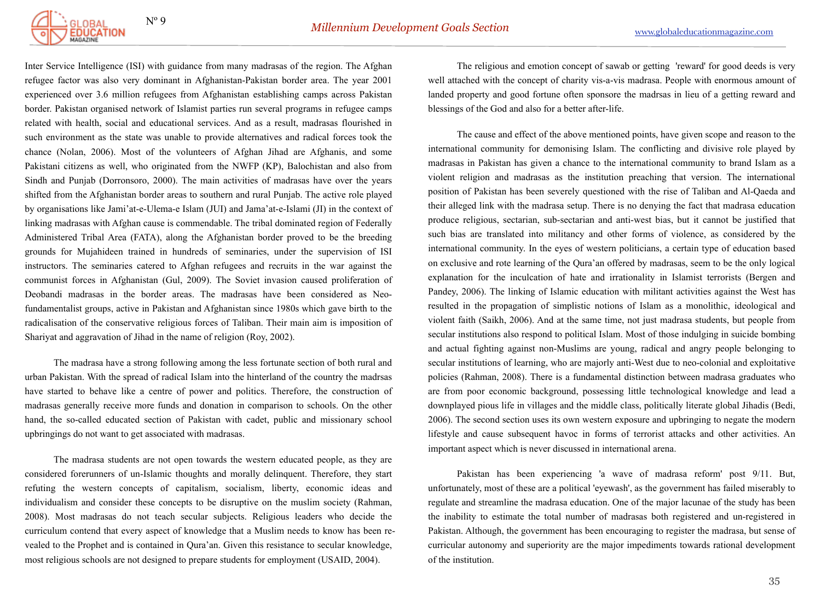

Inter Service Intelligence (ISI) with guidance from many madrasas of the region. The Afghan refugee factor was also very dominant in Afghanistan-Pakistan border area. The year 2001 experienced over 3.6 million refugees from Afghanistan establishing camps across Pakistan border. Pakistan organised network of Islamist parties run several programs in refugee camps related with health, social and educational services. And as a result, madrasas flourished in such environment as the state was unable to provide alternatives and radical forces took the chance (Nolan, 2006). Most of the volunteers of Afghan Jihad are Afghanis, and some Pakistani citizens as well, who originated from the NWFP (KP), Balochistan and also from Sindh and Punjab (Dorronsoro, 2000). The main activities of madrasas have over the years shifted from the Afghanistan border areas to southern and rural Punjab. The active role played by organisations like Jami'at-e-Ulema-e Islam (JUI) and Jama'at-e-Islami (JI) in the context of linking madrasas with Afghan cause is commendable. The tribal dominated region of Federally Administered Tribal Area (FATA), along the Afghanistan border proved to be the breeding grounds for Mujahideen trained in hundreds of seminaries, under the supervision of ISI instructors. The seminaries catered to Afghan refugees and recruits in the war against the communist forces in Afghanistan (Gul, 2009). The Soviet invasion caused proliferation of Deobandi madrasas in the border areas. The madrasas have been considered as Neofundamentalist groups, active in Pakistan and Afghanistan since 1980s which gave birth to the radicalisation of the conservative religious forces of Taliban. Their main aim is imposition of Shariyat and aggravation of Jihad in the name of religion (Roy, 2002).

 The madrasa have a strong following among the less fortunate section of both rural and urban Pakistan. With the spread of radical Islam into the hinterland of the country the madrsas have started to behave like a centre of power and politics. Therefore, the construction of madrasas generally receive more funds and donation in comparison to schools. On the other hand, the so-called educated section of Pakistan with cadet, public and missionary school upbringings do not want to get associated with madrasas.

 The madrasa students are not open towards the western educated people, as they are considered forerunners of un-Islamic thoughts and morally delinquent. Therefore, they start refuting the western concepts of capitalism, socialism, liberty, economic ideas and individualism and consider these concepts to be disruptive on the muslim society (Rahman, 2008). Most madrasas do not teach secular subjects. Religious leaders who decide the curriculum contend that every aspect of knowledge that a Muslim needs to know has been revealed to the Prophet and is contained in Qura'an. Given this resistance to secular knowledge, most religious schools are not designed to prepare students for employment (USAID, 2004).

 The religious and emotion concept of sawab or getting 'reward' for good deeds is very well attached with the concept of charity vis-a-vis madrasa. People with enormous amount of landed property and good fortune often sponsore the madrsas in lieu of a getting reward and blessings of the God and also for a better after-life.

 The cause and effect of the above mentioned points, have given scope and reason to the international community for demonising Islam. The conflicting and divisive role played by madrasas in Pakistan has given a chance to the international community to brand Islam as a violent religion and madrasas as the institution preaching that version. The international position of Pakistan has been severely questioned with the rise of Taliban and Al-Qaeda and their alleged link with the madrasa setup. There is no denying the fact that madrasa education produce religious, sectarian, sub-sectarian and anti-west bias, but it cannot be justified that such bias are translated into militancy and other forms of violence, as considered by the international community. In the eyes of western politicians, a certain type of education based on exclusive and rote learning of the Qura'an offered by madrasas, seem to be the only logical explanation for the inculcation of hate and irrationality in Islamist terrorists (Bergen and Pandey, 2006). The linking of Islamic education with militant activities against the West has resulted in the propagation of simplistic notions of Islam as a monolithic, ideological and violent faith (Saikh, 2006). And at the same time, not just madrasa students, but people from secular institutions also respond to political Islam. Most of those indulging in suicide bombing and actual fighting against non-Muslims are young, radical and angry people belonging to secular institutions of learning, who are majorly anti-West due to neo-colonial and exploitative policies (Rahman, 2008). There is a fundamental distinction between madrasa graduates who are from poor economic background, possessing little technological knowledge and lead a downplayed pious life in villages and the middle class, politically literate global Jihadis (Bedi, 2006). The second section uses its own western exposure and upbringing to negate the modern lifestyle and cause subsequent havoc in forms of terrorist attacks and other activities. An important aspect which is never discussed in international arena.

 Pakistan has been experiencing 'a wave of madrasa reform' post 9/11. But, unfortunately, most of these are a political 'eyewash', as the government has failed miserably to regulate and streamline the madrasa education. One of the major lacunae of the study has been the inability to estimate the total number of madrasas both registered and un-registered in Pakistan. Although, the government has been encouraging to register the madrasa, but sense of curricular autonomy and superiority are the major impediments towards rational development of the institution.